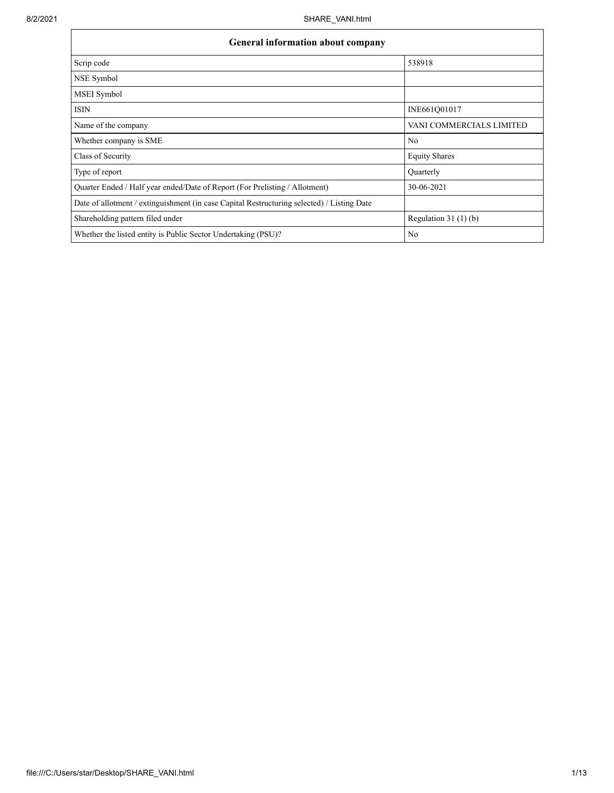| General information about company                                                          |                          |  |  |  |  |  |
|--------------------------------------------------------------------------------------------|--------------------------|--|--|--|--|--|
| Scrip code                                                                                 | 538918                   |  |  |  |  |  |
| NSE Symbol                                                                                 |                          |  |  |  |  |  |
| MSEI Symbol                                                                                |                          |  |  |  |  |  |
| <b>ISIN</b>                                                                                | INE661Q01017             |  |  |  |  |  |
| Name of the company                                                                        | VANI COMMERCIALS LIMITED |  |  |  |  |  |
| Whether company is SME                                                                     | No                       |  |  |  |  |  |
| Class of Security                                                                          | <b>Equity Shares</b>     |  |  |  |  |  |
| Type of report                                                                             | Quarterly                |  |  |  |  |  |
| Quarter Ended / Half year ended/Date of Report (For Prelisting / Allotment)                | 30-06-2021               |  |  |  |  |  |
| Date of allotment / extinguishment (in case Capital Restructuring selected) / Listing Date |                          |  |  |  |  |  |
| Shareholding pattern filed under                                                           | Regulation $31(1)(b)$    |  |  |  |  |  |
| Whether the listed entity is Public Sector Undertaking (PSU)?                              | N <sub>0</sub>           |  |  |  |  |  |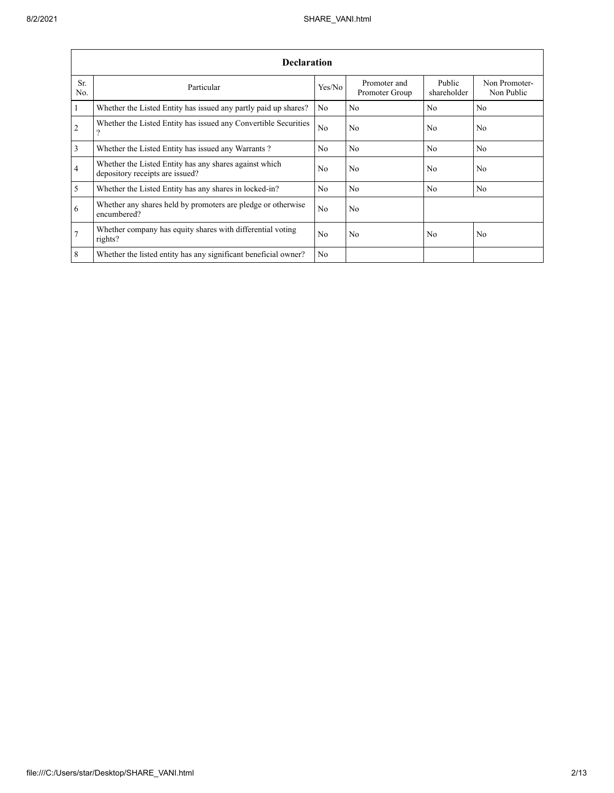|                 | <b>Declaration</b>                                                                        |                |                                |                       |                             |  |  |  |  |  |
|-----------------|-------------------------------------------------------------------------------------------|----------------|--------------------------------|-----------------------|-----------------------------|--|--|--|--|--|
| Sr.<br>No.      | Particular                                                                                | Yes/No         | Promoter and<br>Promoter Group | Public<br>shareholder | Non Promoter-<br>Non Public |  |  |  |  |  |
| $\mathbf{1}$    | Whether the Listed Entity has issued any partly paid up shares?                           | N <sub>0</sub> | No.                            | N <sub>0</sub>        | N <sub>0</sub>              |  |  |  |  |  |
| 2               | Whether the Listed Entity has issued any Convertible Securities<br>7                      | N <sub>0</sub> | No.                            | N <sub>0</sub>        | N <sub>0</sub>              |  |  |  |  |  |
| $\overline{3}$  | Whether the Listed Entity has issued any Warrants?                                        | N <sub>0</sub> | No.                            | N <sub>0</sub>        | No                          |  |  |  |  |  |
| $\overline{4}$  | Whether the Listed Entity has any shares against which<br>depository receipts are issued? | N <sub>0</sub> | No.                            | N <sub>0</sub>        | N <sub>0</sub>              |  |  |  |  |  |
| 5               | Whether the Listed Entity has any shares in locked-in?                                    | N <sub>0</sub> | No.                            | N <sub>0</sub>        | N <sub>0</sub>              |  |  |  |  |  |
| 6               | Whether any shares held by promoters are pledge or otherwise<br>encumbered?               | N <sub>0</sub> | No                             |                       |                             |  |  |  |  |  |
| $7\phantom{.0}$ | Whether company has equity shares with differential voting<br>rights?                     | N <sub>0</sub> | No.                            | N <sub>0</sub>        | N <sub>0</sub>              |  |  |  |  |  |
| 8               | Whether the listed entity has any significant beneficial owner?                           | N <sub>0</sub> |                                |                       |                             |  |  |  |  |  |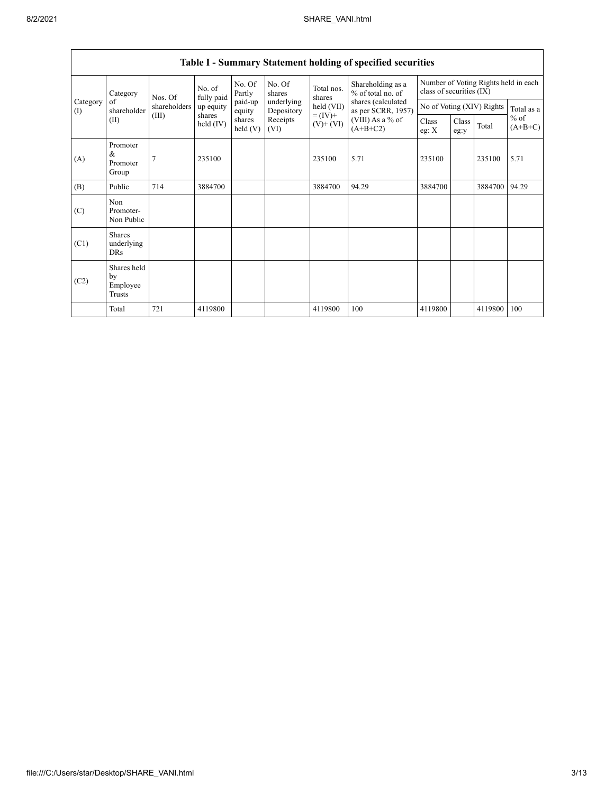|                 | Category                                  | Nos. Of      | No. of<br>fully paid | No. Of<br>Partly     | No. Of<br>shares         | Total nos.<br>shares<br>held (VII)<br>$= (IV) +$<br>$(V)+(VI)$ | Shareholding as a<br>% of total no. of<br>shares (calculated<br>as per SCRR, 1957)<br>(VIII) As a % of<br>$(A+B+C2)$ | Number of Voting Rights held in each<br>class of securities (IX) |               |         |                     |
|-----------------|-------------------------------------------|--------------|----------------------|----------------------|--------------------------|----------------------------------------------------------------|----------------------------------------------------------------------------------------------------------------------|------------------------------------------------------------------|---------------|---------|---------------------|
| Category<br>(I) | of<br>shareholder                         | shareholders | up equity            | paid-up<br>equity    | underlying<br>Depository |                                                                |                                                                                                                      | No of Voting (XIV) Rights                                        |               |         | Total as a          |
| (II)            |                                           | (III)        | shares<br>held (IV)  | shares<br>held $(V)$ | Receipts<br>(VI)         |                                                                |                                                                                                                      | Class<br>eg: $X$                                                 | Class<br>eg:y | Total   | $%$ of<br>$(A+B+C)$ |
| (A)             | Promoter<br>&<br>Promoter<br>Group        |              | 235100               |                      |                          | 235100                                                         | 5.71                                                                                                                 | 235100                                                           |               | 235100  | 5.71                |
| (B)             | Public                                    | 714          | 3884700              |                      |                          | 3884700                                                        | 94.29                                                                                                                | 3884700                                                          |               | 3884700 | 94.29               |
| (C)             | Non<br>Promoter-<br>Non Public            |              |                      |                      |                          |                                                                |                                                                                                                      |                                                                  |               |         |                     |
| (C1)            | <b>Shares</b><br>underlying<br><b>DRs</b> |              |                      |                      |                          |                                                                |                                                                                                                      |                                                                  |               |         |                     |
| (C2)            | Shares held<br>by<br>Employee<br>Trusts   |              |                      |                      |                          |                                                                |                                                                                                                      |                                                                  |               |         |                     |
|                 | Total                                     | 721          | 4119800              |                      |                          | 4119800                                                        | 100                                                                                                                  | 4119800                                                          |               | 4119800 | 100                 |

## **Table I - Summary Statement holding of specified securities**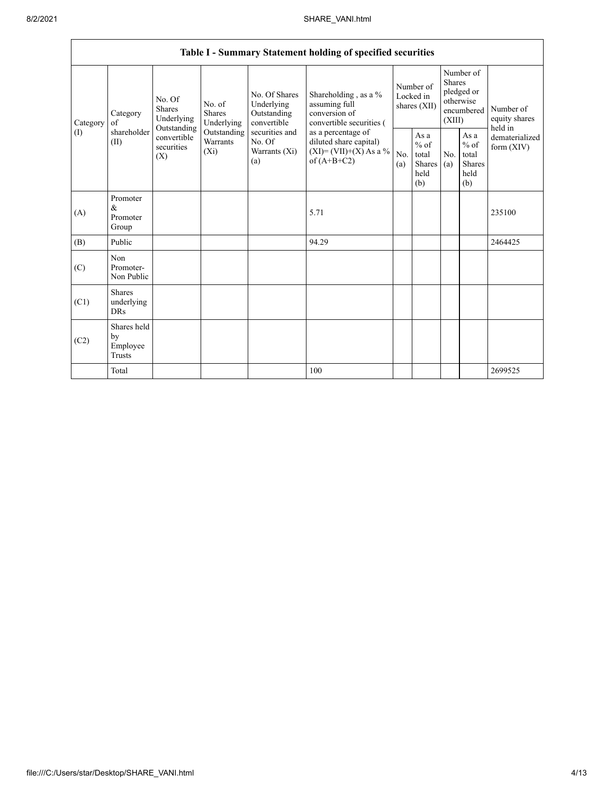|          | Table I - Summary Statement holding of specified securities |                                                 |                                    |                                                                                                                                                                                                                                |                                                  |                                        |                                                  |                                                                               |                                                         |                                       |
|----------|-------------------------------------------------------------|-------------------------------------------------|------------------------------------|--------------------------------------------------------------------------------------------------------------------------------------------------------------------------------------------------------------------------------|--------------------------------------------------|----------------------------------------|--------------------------------------------------|-------------------------------------------------------------------------------|---------------------------------------------------------|---------------------------------------|
| Category | Category<br>of                                              | No. Of<br><b>Shares</b><br>Underlying           | No. of<br><b>Shares</b>            | No. Of Shares<br>Underlying<br>assuming full<br>conversion of<br>Outstanding<br>Underlying<br>convertible<br>securities and<br>as a percentage of<br>No. Of<br>diluted share capital)<br>Warrants (Xi)<br>of $(A+B+C2)$<br>(a) | Shareholding, as a %<br>convertible securities ( | Number of<br>Locked in<br>shares (XII) |                                                  | Number of<br><b>Shares</b><br>pledged or<br>otherwise<br>encumbered<br>(XIII) |                                                         | Number of<br>equity shares<br>held in |
| (1)      | shareholder<br>(II)                                         | Outstanding<br>convertible<br>securities<br>(X) | Outstanding<br>Warrants<br>$(X_i)$ |                                                                                                                                                                                                                                | $(XI)=(VII)+(X) As a %$                          | No.<br>(a)                             | As a<br>$%$ of<br>total<br>Shares<br>held<br>(b) | No.<br>(a)                                                                    | As a<br>$%$ of<br>total<br><b>Shares</b><br>held<br>(b) | dematerialized<br>form $(XIV)$        |
| (A)      | Promoter<br>&<br>Promoter<br>Group                          |                                                 |                                    |                                                                                                                                                                                                                                | 5.71                                             |                                        |                                                  |                                                                               |                                                         | 235100                                |
| (B)      | Public                                                      |                                                 |                                    |                                                                                                                                                                                                                                | 94.29                                            |                                        |                                                  |                                                                               |                                                         | 2464425                               |
| (C)      | Non<br>Promoter-<br>Non Public                              |                                                 |                                    |                                                                                                                                                                                                                                |                                                  |                                        |                                                  |                                                                               |                                                         |                                       |
| (C1)     | <b>Shares</b><br>underlying<br><b>DRs</b>                   |                                                 |                                    |                                                                                                                                                                                                                                |                                                  |                                        |                                                  |                                                                               |                                                         |                                       |
| (C2)     | Shares held<br>by<br>Employee<br>Trusts                     |                                                 |                                    |                                                                                                                                                                                                                                |                                                  |                                        |                                                  |                                                                               |                                                         |                                       |
|          | Total                                                       |                                                 |                                    |                                                                                                                                                                                                                                | 100                                              |                                        |                                                  |                                                                               |                                                         | 2699525                               |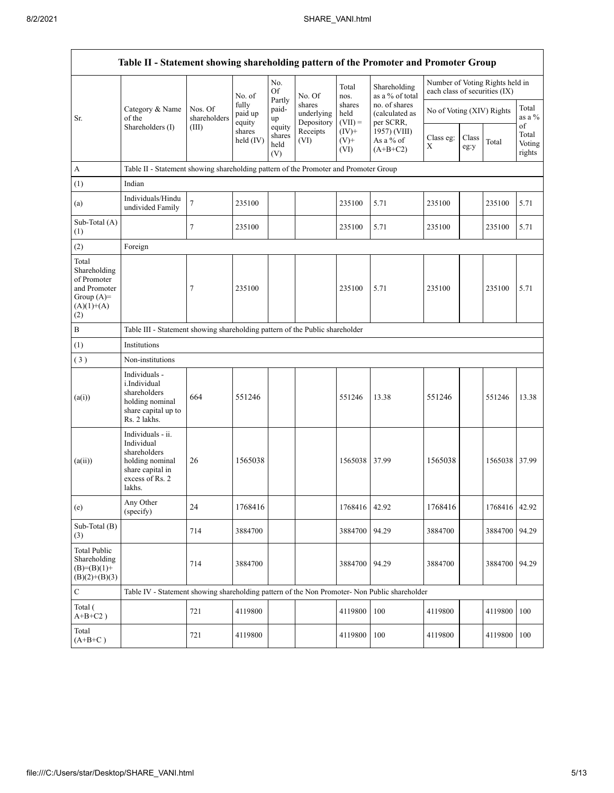| Table II - Statement showing shareholding pattern of the Promoter and Promoter Group        |                                                                                                                     |                                                                              |                            |                                 |                                    |                             |                                              |                               |               |                                 |                                 |
|---------------------------------------------------------------------------------------------|---------------------------------------------------------------------------------------------------------------------|------------------------------------------------------------------------------|----------------------------|---------------------------------|------------------------------------|-----------------------------|----------------------------------------------|-------------------------------|---------------|---------------------------------|---------------------------------|
|                                                                                             | Category & Name<br>of the<br>Shareholders (I)                                                                       | Nos. Of<br>shareholders                                                      | No. of                     | No.<br>Of                       | No. Of                             | Total<br>nos.               | Shareholding<br>as a % of total              | each class of securities (IX) |               | Number of Voting Rights held in |                                 |
| Sr.                                                                                         |                                                                                                                     |                                                                              | fully<br>paid up<br>equity | Partly<br>paid-<br>up           | shares<br>underlying<br>Depository | shares<br>held<br>$(VII) =$ | no. of shares<br>(calculated as<br>per SCRR, | No of Voting (XIV) Rights     |               |                                 | Total<br>as a %                 |
|                                                                                             |                                                                                                                     | (III)                                                                        | shares<br>held (IV)        | equity<br>shares<br>held<br>(V) | Receipts<br>(VI)                   | $(IV)+$<br>$(V)$ +<br>(VI)  | 1957) (VIII)<br>As a % of<br>$(A+B+C2)$      | Class eg:<br>X                | Class<br>eg:y | Total                           | of<br>Total<br>Voting<br>rights |
| A                                                                                           | Table II - Statement showing shareholding pattern of the Promoter and Promoter Group                                |                                                                              |                            |                                 |                                    |                             |                                              |                               |               |                                 |                                 |
| (1)                                                                                         | Indian                                                                                                              |                                                                              |                            |                                 |                                    |                             |                                              |                               |               |                                 |                                 |
| (a)                                                                                         | Individuals/Hindu<br>undivided Family                                                                               | 7                                                                            | 235100                     |                                 |                                    | 235100                      | 5.71                                         | 235100                        |               | 235100                          | 5.71                            |
| Sub-Total (A)<br>(1)                                                                        |                                                                                                                     | 7                                                                            | 235100                     |                                 |                                    | 235100                      | 5.71                                         | 235100                        |               | 235100                          | 5.71                            |
| (2)                                                                                         | Foreign                                                                                                             |                                                                              |                            |                                 |                                    |                             |                                              |                               |               |                                 |                                 |
| Total<br>Shareholding<br>of Promoter<br>and Promoter<br>Group $(A)=$<br>$(A)(1)+(A)$<br>(2) |                                                                                                                     | 7                                                                            | 235100                     |                                 |                                    | 235100                      | 5.71                                         | 235100                        |               | 235100                          | 5.71                            |
| $\, {\bf B}$                                                                                |                                                                                                                     | Table III - Statement showing shareholding pattern of the Public shareholder |                            |                                 |                                    |                             |                                              |                               |               |                                 |                                 |
| (1)                                                                                         | Institutions                                                                                                        |                                                                              |                            |                                 |                                    |                             |                                              |                               |               |                                 |                                 |
| (3)                                                                                         | Non-institutions                                                                                                    |                                                                              |                            |                                 |                                    |                             |                                              |                               |               |                                 |                                 |
| (a(i))                                                                                      | Individuals -<br>i.Individual<br>shareholders<br>holding nominal<br>share capital up to<br>Rs. 2 lakhs.             | 664                                                                          | 551246                     |                                 |                                    | 551246                      | 13.38                                        | 551246                        |               | 551246                          | 13.38                           |
| (a(ii))                                                                                     | Individuals - ii.<br>Individual<br>shareholders<br>holding nominal<br>share capital in<br>excess of Rs. 2<br>lakhs. | 26                                                                           | 1565038                    |                                 |                                    | 1565038                     | 37.99                                        | 1565038                       |               | 1565038 37.99                   |                                 |
| (e)                                                                                         | Any Other<br>(specify)                                                                                              | 24                                                                           | 1768416                    |                                 |                                    | 1768416 42.92               |                                              | 1768416                       |               | 1768416 42.92                   |                                 |
| Sub-Total (B)<br>(3)                                                                        |                                                                                                                     | 714                                                                          | 3884700                    |                                 |                                    | 3884700                     | 94.29                                        | 3884700                       |               | 3884700                         | 94.29                           |
| <b>Total Public</b><br>Shareholding<br>$(B)= (B)(1) +$<br>$(B)(2)+(B)(3)$                   |                                                                                                                     | 714                                                                          | 3884700                    |                                 |                                    | 3884700                     | 94.29                                        | 3884700                       |               | 3884700 94.29                   |                                 |
| $\mathbf C$                                                                                 | Table IV - Statement showing shareholding pattern of the Non Promoter- Non Public shareholder                       |                                                                              |                            |                                 |                                    |                             |                                              |                               |               |                                 |                                 |
| Total (<br>$A+B+C2$ )                                                                       |                                                                                                                     | 721                                                                          | 4119800                    |                                 |                                    | 4119800                     | 100                                          | 4119800                       |               | 4119800                         | 100                             |
| Total<br>$(A+B+C)$                                                                          |                                                                                                                     | 721                                                                          | 4119800                    |                                 |                                    | 4119800                     | 100                                          | 4119800                       |               | 4119800                         | 100                             |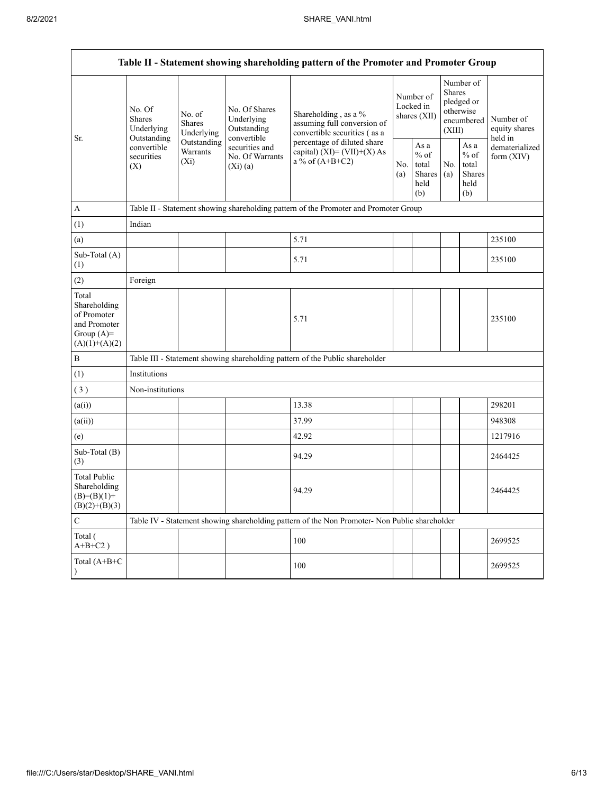| Table II - Statement showing shareholding pattern of the Promoter and Promoter Group    |                                                                                                                                |                         |                                                           |                                                                                               |                                          |                                                  |                                                                        |                                                         |                                       |
|-----------------------------------------------------------------------------------------|--------------------------------------------------------------------------------------------------------------------------------|-------------------------|-----------------------------------------------------------|-----------------------------------------------------------------------------------------------|------------------------------------------|--------------------------------------------------|------------------------------------------------------------------------|---------------------------------------------------------|---------------------------------------|
| Sr.                                                                                     | No. Of<br>No. of<br><b>Shares</b><br><b>Shares</b><br>Underlying<br>Outstanding<br>convertible<br>securities<br>$(X_i)$<br>(X) | Underlying              | No. Of Shares<br>Underlying<br>Outstanding<br>convertible | Shareholding, as a %<br>assuming full conversion of<br>convertible securities (as a           | Number of<br>Locked in<br>shares $(XII)$ |                                                  | Number of<br>Shares<br>pledged or<br>otherwise<br>encumbered<br>(XIII) |                                                         | Number of<br>equity shares<br>held in |
|                                                                                         |                                                                                                                                | Outstanding<br>Warrants | securities and<br>No. Of Warrants<br>(Xi)(a)              | percentage of diluted share<br>capital) $(XI) = (VII)+(X) As$<br>a % of $(A+B+C2)$            |                                          | As a<br>$%$ of<br>total<br>Shares<br>held<br>(b) | No.<br>(a)                                                             | As a<br>$%$ of<br>total<br><b>Shares</b><br>held<br>(b) | dematerialized<br>form $(XIV)$        |
| $\mathbf{A}$                                                                            |                                                                                                                                |                         |                                                           | Table II - Statement showing shareholding pattern of the Promoter and Promoter Group          |                                          |                                                  |                                                                        |                                                         |                                       |
| (1)                                                                                     | Indian                                                                                                                         |                         |                                                           |                                                                                               |                                          |                                                  |                                                                        |                                                         |                                       |
| (a)                                                                                     |                                                                                                                                |                         |                                                           | 5.71                                                                                          |                                          |                                                  |                                                                        |                                                         | 235100                                |
| Sub-Total (A)<br>(1)                                                                    |                                                                                                                                |                         |                                                           | 5.71                                                                                          |                                          |                                                  |                                                                        |                                                         | 235100                                |
| (2)                                                                                     | Foreign                                                                                                                        |                         |                                                           |                                                                                               |                                          |                                                  |                                                                        |                                                         |                                       |
| Total<br>Shareholding<br>of Promoter<br>and Promoter<br>Group $(A)=$<br>$(A)(1)+(A)(2)$ |                                                                                                                                |                         |                                                           | 5.71                                                                                          |                                          |                                                  |                                                                        |                                                         | 235100                                |
| $\, {\bf B}$                                                                            |                                                                                                                                |                         |                                                           | Table III - Statement showing shareholding pattern of the Public shareholder                  |                                          |                                                  |                                                                        |                                                         |                                       |
| (1)                                                                                     | Institutions                                                                                                                   |                         |                                                           |                                                                                               |                                          |                                                  |                                                                        |                                                         |                                       |
| (3)                                                                                     | Non-institutions                                                                                                               |                         |                                                           |                                                                                               |                                          |                                                  |                                                                        |                                                         |                                       |
| (a(i))                                                                                  |                                                                                                                                |                         |                                                           | 13.38                                                                                         |                                          |                                                  |                                                                        |                                                         | 298201                                |
| (a(ii))                                                                                 |                                                                                                                                |                         |                                                           | 37.99                                                                                         |                                          |                                                  |                                                                        |                                                         | 948308                                |
| (e)                                                                                     |                                                                                                                                |                         |                                                           | 42.92                                                                                         |                                          |                                                  |                                                                        |                                                         | 1217916                               |
| Sub-Total (B)<br>(3)                                                                    |                                                                                                                                |                         |                                                           | 94.29                                                                                         |                                          |                                                  |                                                                        |                                                         | 2464425                               |
| <b>Total Public</b><br>Shareholding<br>$(B)=(B)(1)+$<br>$(B)(2)+(B)(3)$                 |                                                                                                                                |                         |                                                           | 94.29                                                                                         |                                          |                                                  |                                                                        |                                                         | 2464425                               |
| $\mathbf C$                                                                             |                                                                                                                                |                         |                                                           | Table IV - Statement showing shareholding pattern of the Non Promoter- Non Public shareholder |                                          |                                                  |                                                                        |                                                         |                                       |
| Total (<br>$A+B+C2$ )                                                                   |                                                                                                                                |                         |                                                           | 100                                                                                           |                                          |                                                  |                                                                        |                                                         | 2699525                               |
| Total (A+B+C                                                                            |                                                                                                                                |                         |                                                           | 100                                                                                           |                                          |                                                  |                                                                        |                                                         | 2699525                               |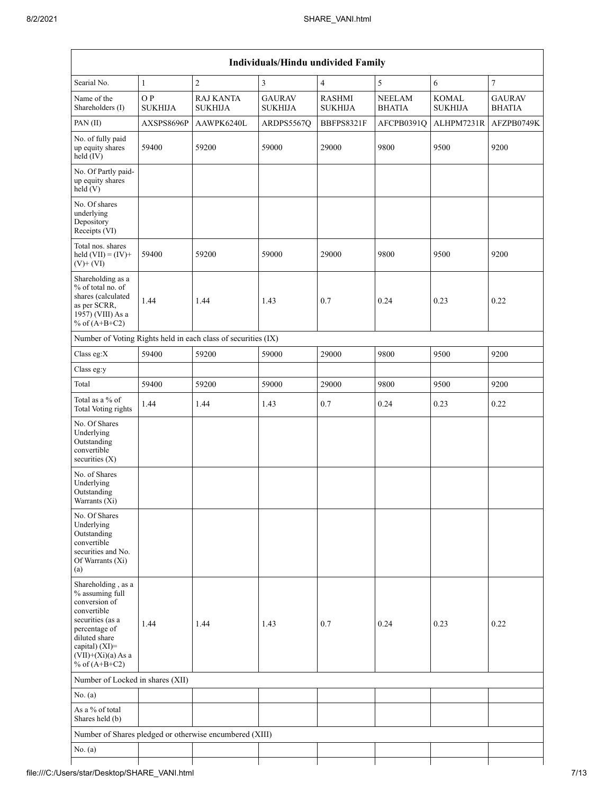|                                                                                                                                                                                          |                       |                                                               | Individuals/Hindu undivided Family |                                 |                                |                                |                                |
|------------------------------------------------------------------------------------------------------------------------------------------------------------------------------------------|-----------------------|---------------------------------------------------------------|------------------------------------|---------------------------------|--------------------------------|--------------------------------|--------------------------------|
| Searial No.                                                                                                                                                                              | $\mathbf{1}$          | $\overline{c}$                                                | 3                                  | $\overline{\mathbf{4}}$         | 5                              | 6                              | $\boldsymbol{7}$               |
| Name of the<br>Shareholders (I)                                                                                                                                                          | O P<br><b>SUKHIJA</b> | <b>RAJ KANTA</b><br><b>SUKHIJA</b>                            | <b>GAURAV</b><br><b>SUKHIJA</b>    | <b>RASHMI</b><br><b>SUKHIJA</b> | <b>NEELAM</b><br><b>BHATIA</b> | <b>KOMAL</b><br><b>SUKHIJA</b> | <b>GAURAV</b><br><b>BHATIA</b> |
| PAN (II)                                                                                                                                                                                 | AXSPS8696P            | AAWPK6240L                                                    | ARDPS5567Q                         | BBFPS8321F                      | AFCPB0391O                     | ALHPM7231R                     | AFZPB0749K                     |
| No. of fully paid<br>up equity shares<br>held (IV)                                                                                                                                       | 59400                 | 59200                                                         | 59000                              | 29000                           | 9800                           | 9500                           | 9200                           |
| No. Of Partly paid-<br>up equity shares<br>held(V)                                                                                                                                       |                       |                                                               |                                    |                                 |                                |                                |                                |
| No. Of shares<br>underlying<br>Depository<br>Receipts (VI)                                                                                                                               |                       |                                                               |                                    |                                 |                                |                                |                                |
| Total nos. shares<br>held $(VII) = (IV) +$<br>$(V)$ + $(VI)$                                                                                                                             | 59400                 | 59200                                                         | 59000                              | 29000                           | 9800                           | 9500                           | 9200                           |
| Shareholding as a<br>% of total no. of<br>shares (calculated<br>as per SCRR,<br>1957) (VIII) As a<br>% of $(A+B+C2)$                                                                     | 1.44                  | 1.44                                                          | 1.43                               | 0.7                             | 0.24                           | 0.23                           | 0.22                           |
|                                                                                                                                                                                          |                       | Number of Voting Rights held in each class of securities (IX) |                                    |                                 |                                |                                |                                |
| Class eg:X                                                                                                                                                                               | 59400                 | 59200                                                         | 59000                              | 29000                           | 9800                           | 9500                           | 9200                           |
| Class eg:y                                                                                                                                                                               |                       |                                                               |                                    |                                 |                                |                                |                                |
| Total                                                                                                                                                                                    | 59400                 | 59200                                                         | 59000                              | 29000                           | 9800                           | 9500                           | 9200                           |
| Total as a % of<br><b>Total Voting rights</b>                                                                                                                                            | 1.44                  | 1.44                                                          | 1.43                               | 0.7                             | 0.24                           | 0.23                           | 0.22                           |
| No. Of Shares<br>Underlying<br>Outstanding<br>convertible<br>securities $(X)$                                                                                                            |                       |                                                               |                                    |                                 |                                |                                |                                |
| No. of Shares<br>Underlying<br>Outstanding<br>Warrants (Xi)                                                                                                                              |                       |                                                               |                                    |                                 |                                |                                |                                |
| No. Of Shares<br>Underlying<br>Outstanding<br>convertible<br>securities and No.<br>Of Warrants (Xi)<br>(a)                                                                               |                       |                                                               |                                    |                                 |                                |                                |                                |
| Shareholding, as a<br>% assuming full<br>conversion of<br>convertible<br>securities (as a<br>percentage of<br>diluted share<br>capital) (XI)=<br>$(VII)+(Xi)(a)$ As a<br>% of $(A+B+C2)$ | 1.44                  | 1.44                                                          | 1.43                               | 0.7                             | 0.24                           | 0.23                           | 0.22                           |
| Number of Locked in shares (XII)                                                                                                                                                         |                       |                                                               |                                    |                                 |                                |                                |                                |
| No. $(a)$                                                                                                                                                                                |                       |                                                               |                                    |                                 |                                |                                |                                |
| As a % of total<br>Shares held (b)                                                                                                                                                       |                       |                                                               |                                    |                                 |                                |                                |                                |
|                                                                                                                                                                                          |                       | Number of Shares pledged or otherwise encumbered (XIII)       |                                    |                                 |                                |                                |                                |
| No. $(a)$                                                                                                                                                                                |                       |                                                               |                                    |                                 |                                |                                |                                |
|                                                                                                                                                                                          |                       |                                                               |                                    |                                 |                                |                                |                                |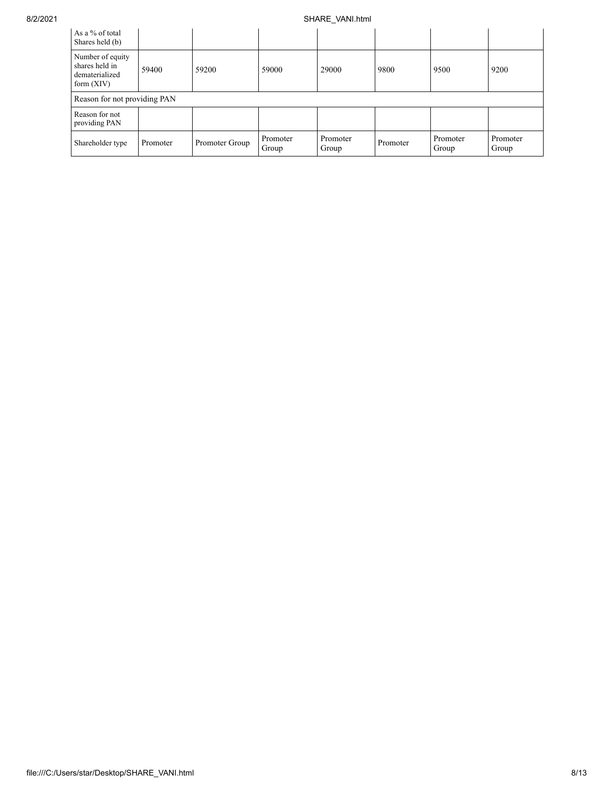## 8/2/2021 SHARE\_VANI.html

| As a % of total<br>Shares held (b)                                   |          |                |                   |                   |          |                   |                   |  |  |
|----------------------------------------------------------------------|----------|----------------|-------------------|-------------------|----------|-------------------|-------------------|--|--|
| Number of equity<br>shares held in<br>dematerialized<br>form $(XIV)$ | 59400    | 59200          | 59000             | 29000             | 9800     | 9500              | 9200              |  |  |
| Reason for not providing PAN                                         |          |                |                   |                   |          |                   |                   |  |  |
| Reason for not<br>providing PAN                                      |          |                |                   |                   |          |                   |                   |  |  |
| Shareholder type                                                     | Promoter | Promoter Group | Promoter<br>Group | Promoter<br>Group | Promoter | Promoter<br>Group | Promoter<br>Group |  |  |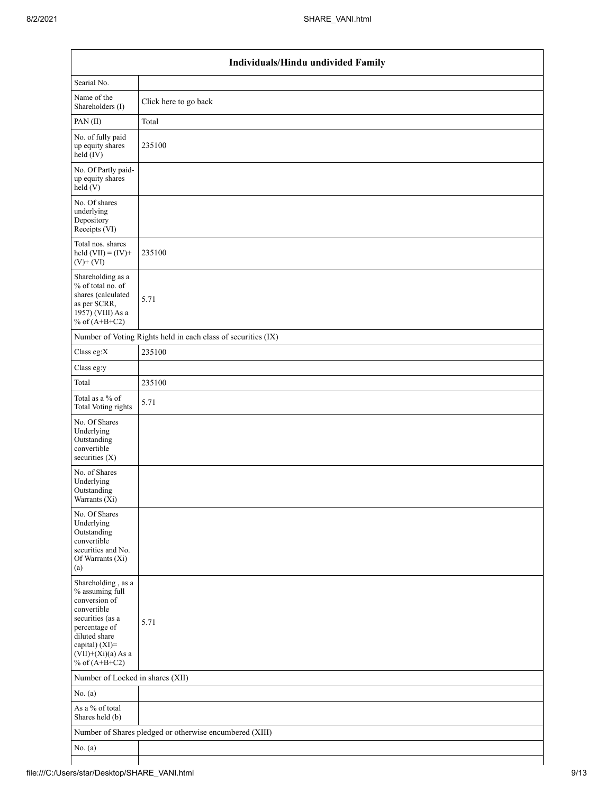| Individuals/Hindu undivided Family                                                                                                                                                       |                                                               |  |  |  |  |  |  |  |
|------------------------------------------------------------------------------------------------------------------------------------------------------------------------------------------|---------------------------------------------------------------|--|--|--|--|--|--|--|
| Searial No.                                                                                                                                                                              |                                                               |  |  |  |  |  |  |  |
| Name of the<br>Shareholders (I)                                                                                                                                                          | Click here to go back                                         |  |  |  |  |  |  |  |
| PAN(II)                                                                                                                                                                                  | Total                                                         |  |  |  |  |  |  |  |
| No. of fully paid<br>up equity shares<br>$\text{held} (IV)$                                                                                                                              | 235100                                                        |  |  |  |  |  |  |  |
| No. Of Partly paid-<br>up equity shares<br>held $(V)$                                                                                                                                    |                                                               |  |  |  |  |  |  |  |
| No. Of shares<br>underlying<br>Depository<br>Receipts (VI)                                                                                                                               |                                                               |  |  |  |  |  |  |  |
| Total nos. shares<br>held $(VII) = (IV) +$<br>$(V)$ + $(VI)$                                                                                                                             | 235100                                                        |  |  |  |  |  |  |  |
| Shareholding as a<br>% of total no. of<br>shares (calculated<br>as per SCRR,<br>1957) (VIII) As a<br>% of $(A+B+C2)$                                                                     | 5.71                                                          |  |  |  |  |  |  |  |
|                                                                                                                                                                                          | Number of Voting Rights held in each class of securities (IX) |  |  |  |  |  |  |  |
| Class eg: $X$                                                                                                                                                                            | 235100                                                        |  |  |  |  |  |  |  |
| Class eg:y                                                                                                                                                                               |                                                               |  |  |  |  |  |  |  |
| Total                                                                                                                                                                                    | 235100                                                        |  |  |  |  |  |  |  |
| Total as a % of<br><b>Total Voting rights</b>                                                                                                                                            | 5.71                                                          |  |  |  |  |  |  |  |
| No. Of Shares<br>Underlying<br>Outstanding<br>convertible<br>securities (X)                                                                                                              |                                                               |  |  |  |  |  |  |  |
| No. of Shares<br>Underlying<br>Outstanding<br>Warrants (Xi)                                                                                                                              |                                                               |  |  |  |  |  |  |  |
| No. Of Shares<br>Underlying<br>Outstanding<br>convertible<br>securities and No.<br>Of Warrants (Xi)<br>(a)                                                                               |                                                               |  |  |  |  |  |  |  |
| Shareholding, as a<br>% assuming full<br>conversion of<br>convertible<br>securities (as a<br>percentage of<br>diluted share<br>capital) (XI)=<br>$(VII)+(Xi)(a)$ As a<br>% of $(A+B+C2)$ | 5.71                                                          |  |  |  |  |  |  |  |
| Number of Locked in shares (XII)                                                                                                                                                         |                                                               |  |  |  |  |  |  |  |
| No. (a)                                                                                                                                                                                  |                                                               |  |  |  |  |  |  |  |
| As a % of total<br>Shares held (b)                                                                                                                                                       |                                                               |  |  |  |  |  |  |  |
|                                                                                                                                                                                          | Number of Shares pledged or otherwise encumbered (XIII)       |  |  |  |  |  |  |  |
| No. $(a)$                                                                                                                                                                                |                                                               |  |  |  |  |  |  |  |
|                                                                                                                                                                                          |                                                               |  |  |  |  |  |  |  |

⅂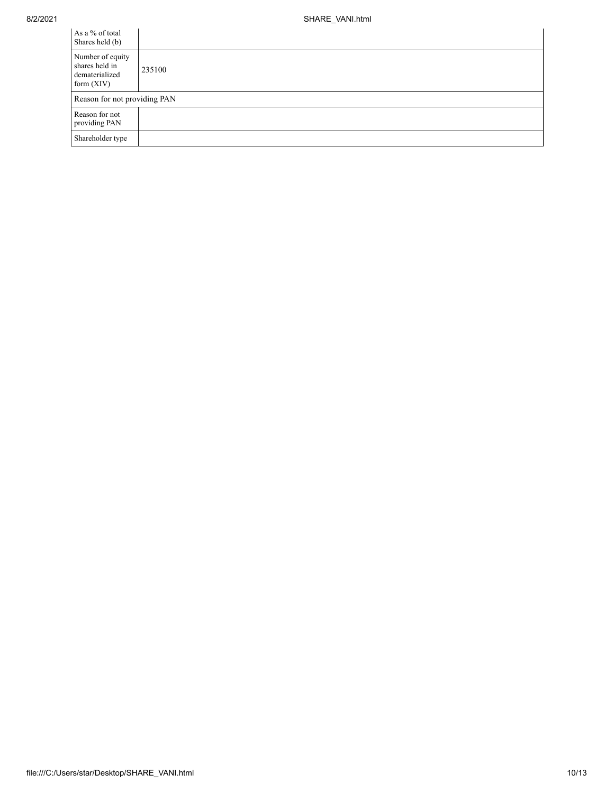| As a % of total<br>Shares held (b)                                   |        |
|----------------------------------------------------------------------|--------|
| Number of equity<br>shares held in<br>dematerialized<br>form $(XIV)$ | 235100 |
| Reason for not providing PAN                                         |        |
| Reason for not<br>providing PAN                                      |        |
| Shareholder type                                                     |        |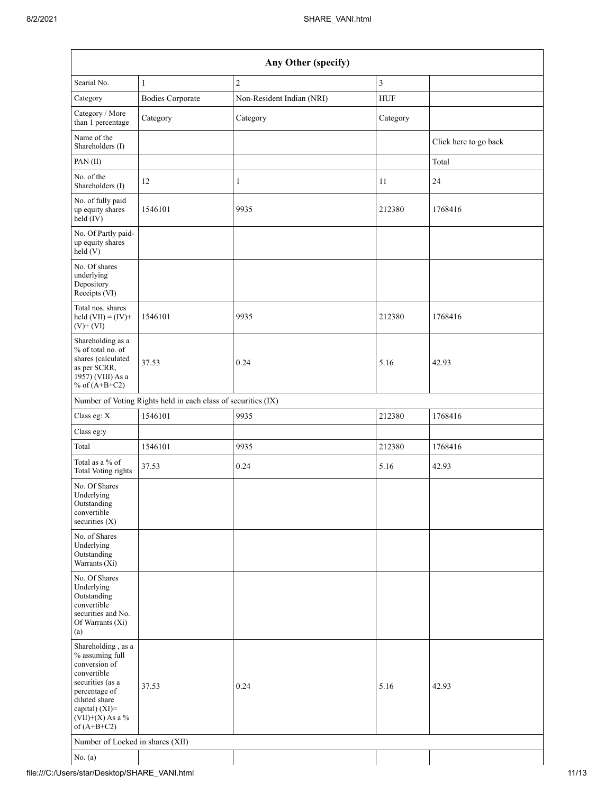| Any Other (specify)                                                                                                                                                                  |                         |                           |                |                       |  |  |  |  |  |
|--------------------------------------------------------------------------------------------------------------------------------------------------------------------------------------|-------------------------|---------------------------|----------------|-----------------------|--|--|--|--|--|
| Searial No.                                                                                                                                                                          | $\mathbf{1}$            | $\overline{c}$            | $\mathfrak{Z}$ |                       |  |  |  |  |  |
| Category                                                                                                                                                                             | <b>Bodies Corporate</b> | Non-Resident Indian (NRI) | <b>HUF</b>     |                       |  |  |  |  |  |
| Category / More<br>than 1 percentage                                                                                                                                                 | Category                | Category                  | Category       |                       |  |  |  |  |  |
| Name of the<br>Shareholders (I)                                                                                                                                                      |                         |                           |                | Click here to go back |  |  |  |  |  |
| PAN(II)                                                                                                                                                                              |                         |                           |                | Total                 |  |  |  |  |  |
| No. of the<br>Shareholders (I)                                                                                                                                                       | 12                      | 1                         | 11             | 24                    |  |  |  |  |  |
| No. of fully paid<br>up equity shares<br>$held$ (IV)                                                                                                                                 | 1546101                 | 9935                      | 212380         | 1768416               |  |  |  |  |  |
| No. Of Partly paid-<br>up equity shares<br>$\text{held} (V)$                                                                                                                         |                         |                           |                |                       |  |  |  |  |  |
| No. Of shares<br>underlying<br>Depository<br>Receipts (VI)                                                                                                                           |                         |                           |                |                       |  |  |  |  |  |
| Total nos. shares<br>held $(VII) = (IV) +$<br>$(V)$ + $(VI)$                                                                                                                         | 1546101                 | 9935                      | 212380         | 1768416               |  |  |  |  |  |
| Shareholding as a<br>% of total no. of<br>shares (calculated<br>as per SCRR,<br>1957) (VIII) As a<br>% of $(A+B+C2)$                                                                 | 37.53                   | 0.24                      | 5.16           | 42.93                 |  |  |  |  |  |
| Number of Voting Rights held in each class of securities (IX)                                                                                                                        |                         |                           |                |                       |  |  |  |  |  |
| Class eg: X                                                                                                                                                                          | 1546101                 | 9935                      | 212380         | 1768416               |  |  |  |  |  |
| Class eg:y                                                                                                                                                                           |                         |                           |                |                       |  |  |  |  |  |
| Total                                                                                                                                                                                | 1546101                 | 9935                      | 212380         | 1768416               |  |  |  |  |  |
| Total as a % of<br>Total Voting rights                                                                                                                                               | 37.53                   | 0.24                      | 5.16           | 42.93                 |  |  |  |  |  |
| No. Of Shares<br>Underlying<br>Outstanding<br>convertible<br>securities $(X)$                                                                                                        |                         |                           |                |                       |  |  |  |  |  |
| No. of Shares<br>Underlying<br>Outstanding<br>Warrants (Xi)                                                                                                                          |                         |                           |                |                       |  |  |  |  |  |
| No. Of Shares<br>Underlying<br>Outstanding<br>convertible<br>securities and No.<br>Of Warrants (Xi)<br>(a)                                                                           |                         |                           |                |                       |  |  |  |  |  |
| Shareholding, as a<br>% assuming full<br>conversion of<br>convertible<br>securities (as a<br>percentage of<br>diluted share<br>capital) (XI)=<br>$(VII)+(X)$ As a %<br>of $(A+B+C2)$ | 37.53                   | 0.24                      | 5.16           | 42.93                 |  |  |  |  |  |
| Number of Locked in shares (XII)                                                                                                                                                     |                         |                           |                |                       |  |  |  |  |  |
| No. $(a)$                                                                                                                                                                            |                         |                           |                |                       |  |  |  |  |  |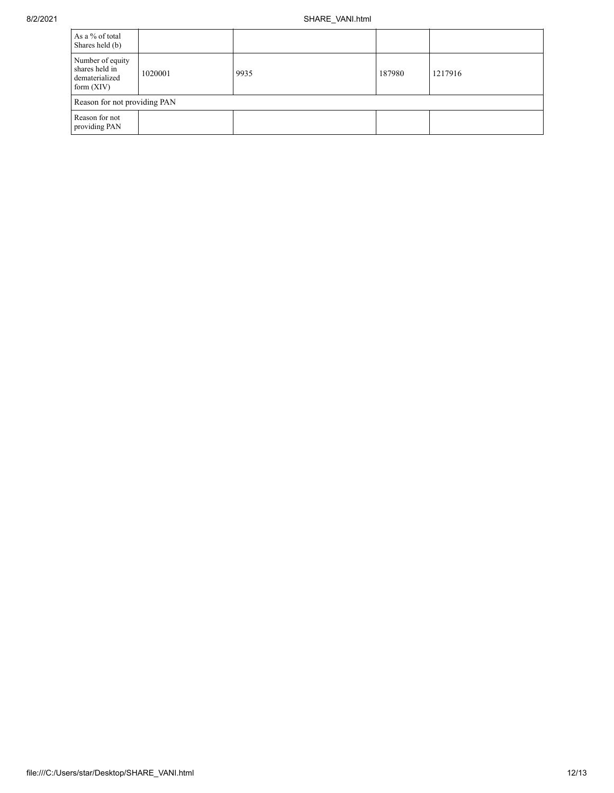| As a % of total<br>Shares held (b)                                   |         |      |        |         |  |  |  |
|----------------------------------------------------------------------|---------|------|--------|---------|--|--|--|
| Number of equity<br>shares held in<br>dematerialized<br>form $(XIV)$ | 1020001 | 9935 | 187980 | 1217916 |  |  |  |
| Reason for not providing PAN                                         |         |      |        |         |  |  |  |
| Reason for not<br>providing PAN                                      |         |      |        |         |  |  |  |